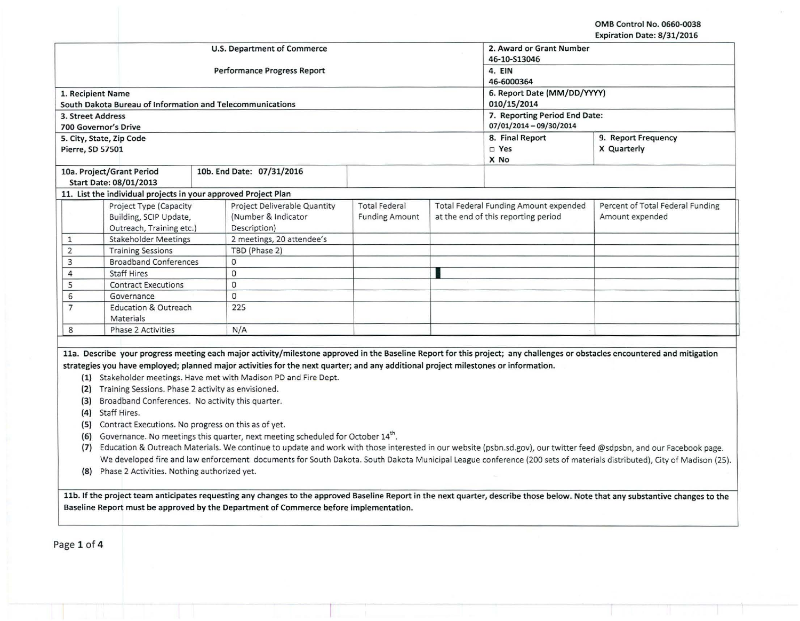OMB Control No. 0660-0038 Expiration Date: 8/31/2016

 $\mu$  .

|                   |                                                                | <b>U.S. Department of Commerce</b>                                                                                                                                                                      |                       | 2. Award or Grant Number<br>46-10-S13046<br>4. EIN<br>46-6000364                                                                                                           |                                  |  |  |
|-------------------|----------------------------------------------------------------|---------------------------------------------------------------------------------------------------------------------------------------------------------------------------------------------------------|-----------------------|----------------------------------------------------------------------------------------------------------------------------------------------------------------------------|----------------------------------|--|--|
|                   |                                                                | Performance Progress Report                                                                                                                                                                             |                       |                                                                                                                                                                            |                                  |  |  |
|                   |                                                                |                                                                                                                                                                                                         |                       |                                                                                                                                                                            |                                  |  |  |
|                   | 1. Recipient Name                                              |                                                                                                                                                                                                         |                       |                                                                                                                                                                            | 6. Report Date (MM/DD/YYYY)      |  |  |
|                   | South Dakota Bureau of Information and Telecommunications      |                                                                                                                                                                                                         |                       | 010/15/2014                                                                                                                                                                |                                  |  |  |
| 3. Street Address |                                                                |                                                                                                                                                                                                         |                       |                                                                                                                                                                            | 7. Reporting Period End Date:    |  |  |
|                   | <b>700 Governor's Drive</b>                                    |                                                                                                                                                                                                         |                       | 07/01/2014 - 09/30/2014                                                                                                                                                    |                                  |  |  |
|                   | 5. City, State, Zip Code                                       |                                                                                                                                                                                                         |                       | 8. Final Report                                                                                                                                                            | 9. Report Frequency              |  |  |
| Pierre, SD 57501  |                                                                |                                                                                                                                                                                                         |                       | $\square$ Yes                                                                                                                                                              | X Quarterly                      |  |  |
|                   |                                                                |                                                                                                                                                                                                         |                       | X No                                                                                                                                                                       |                                  |  |  |
|                   | 10a. Project/Grant Period                                      | 10b. End Date: 07/31/2016                                                                                                                                                                               |                       |                                                                                                                                                                            |                                  |  |  |
|                   | Start Date: 08/01/2013                                         |                                                                                                                                                                                                         |                       |                                                                                                                                                                            |                                  |  |  |
|                   | 11. List the individual projects in your approved Project Plan |                                                                                                                                                                                                         |                       |                                                                                                                                                                            |                                  |  |  |
|                   | Project Type (Capacity                                         | Project Deliverable Quantity                                                                                                                                                                            | <b>Total Federal</b>  | Total Federal Funding Amount expended                                                                                                                                      | Percent of Total Federal Funding |  |  |
|                   | Building, SCIP Update,                                         | (Number & Indicator)                                                                                                                                                                                    | <b>Funding Amount</b> | at the end of this reporting period                                                                                                                                        | Amount expended                  |  |  |
|                   | Outreach, Training etc.)                                       | Description)                                                                                                                                                                                            |                       |                                                                                                                                                                            |                                  |  |  |
| $\mathbf{1}$      | <b>Stakeholder Meetings</b>                                    | 2 meetings, 20 attendee's                                                                                                                                                                               |                       |                                                                                                                                                                            |                                  |  |  |
| $\overline{2}$    | <b>Training Sessions</b>                                       | TBD (Phase 2)                                                                                                                                                                                           |                       |                                                                                                                                                                            |                                  |  |  |
| 3                 | <b>Broadband Conferences</b>                                   | $\circ$                                                                                                                                                                                                 |                       |                                                                                                                                                                            |                                  |  |  |
| $\overline{4}$    | <b>Staff Hires</b>                                             | 0                                                                                                                                                                                                       |                       |                                                                                                                                                                            |                                  |  |  |
| 5                 | <b>Contract Executions</b>                                     | $\overline{O}$                                                                                                                                                                                          |                       |                                                                                                                                                                            |                                  |  |  |
| 6                 | Governance                                                     | $\mathbf{0}$                                                                                                                                                                                            |                       |                                                                                                                                                                            |                                  |  |  |
| $\overline{7}$    | <b>Education &amp; Outreach</b><br>Materials                   | 225                                                                                                                                                                                                     |                       |                                                                                                                                                                            |                                  |  |  |
| 8                 | <b>Phase 2 Activities</b>                                      | N/A                                                                                                                                                                                                     |                       |                                                                                                                                                                            |                                  |  |  |
|                   |                                                                |                                                                                                                                                                                                         |                       |                                                                                                                                                                            |                                  |  |  |
|                   | (2) Training Sessions. Phase 2 activity as envisioned.         | strategies you have employed; planned major activities for the next quarter; and any additional project milestones or information.<br>(1) Stakeholder meetings. Have met with Madison PD and Fire Dept. |                       | 11a. Describe your progress meeting each major activity/milestone approved in the Baseline Report for this project; any challenges or obstacles encountered and mitigation |                                  |  |  |
| (3)               | Broadband Conferences. No activity this quarter.               |                                                                                                                                                                                                         |                       |                                                                                                                                                                            |                                  |  |  |
|                   | (4) Staff Hires.                                               |                                                                                                                                                                                                         |                       |                                                                                                                                                                            |                                  |  |  |
|                   | (5) Contract Executions. No progress on this as of yet.        |                                                                                                                                                                                                         |                       |                                                                                                                                                                            |                                  |  |  |
| (6)               |                                                                | Governance. No meetings this quarter, next meeting scheduled for October 14th.                                                                                                                          |                       |                                                                                                                                                                            |                                  |  |  |
| (7)               |                                                                |                                                                                                                                                                                                         |                       | Education & Outreach Materials. We continue to update and work with those interested in our website (psbn.sd.gov), our twitter feed @sdpsbn, and our Facebook page.        |                                  |  |  |
|                   |                                                                |                                                                                                                                                                                                         |                       | We developed fire and law enforcement documents for South Dakota. South Dakota Municipal League conference (200 sets of materials distributed), City of Madison (25).      |                                  |  |  |
| (8)               | Phase 2 Activities. Nothing authorized yet.                    |                                                                                                                                                                                                         |                       |                                                                                                                                                                            |                                  |  |  |
|                   |                                                                |                                                                                                                                                                                                         |                       |                                                                                                                                                                            |                                  |  |  |

-

Page 1 of 4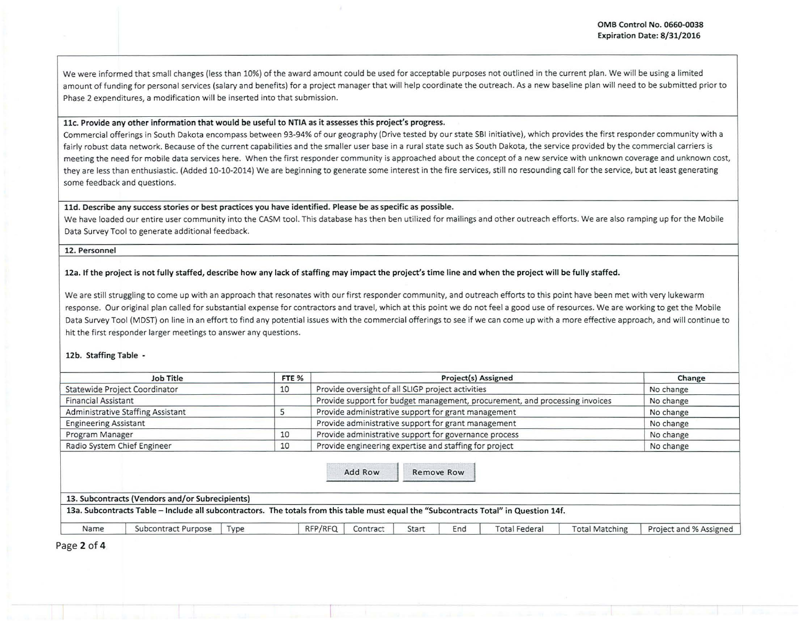I ! I I I

We were informed that small changes (less than 10%) of the award amount could be used for acceptable purposes not outlined in the current plan. We will be using a limited amount of funding for personal services (salary and benefits) for a project manager that will help coordinate the outreach. As a new baseline plan will need to be submitted prior to Phase 2 expenditures, a modification will be inserted into that submission.

#### <sup>1</sup>llc. Provide any other information that would be useful to NTIA as it assesses this project's progress.

Commercial offerings in South Dakota encompass between 93-94% of our geography (Drive tested by our state SBI initiative), which provides the first responder community with a fairly robust data network. Because of the current capabilities and the smaller user base in a rural state such as South Dakota, the service provided by the commercial carriers is meeting the need for mobile data services here. When the first responder community is approached about the concept of a new service with unknown coverage and unknown cost, they are less than enthusiastic. (Added 10-10-2014) We are beginning to generate some interest in the fire services, still no resounding call for the service, but at least generating some feedback and questions.

# lld. Describe any success stories or best practices you have identified. Please be as specific as possible.

We have loaded our entire user community into the CASM tool. This database has then ben utilized for mailings and other outreach efforts. We are also ramping up for the Mobile Data Survey Tool to generate additional feedback.

#### 12. Personnel

## 12a. If the project is not fully staffed, describe how any lack of staffing may impact the project's time line and when the project will be fully staffed.

We are still struggling to come up with an approach that resonates with our first responder community, and outreach efforts to this point have been met with very lukewarm response. Our original plan called for substantial expense for contractors and travel, which at this point we do not feel a good use of resources. We are working to get the Mobile Data Survey Tool (MDST) on line in an effort to find any potential issues with the commercial offerings to see if we can come up with a more effective approach, and will continue to hit the first responder larger meetings to answer any questions.

#### 12b. Staffing Table -

|                              | Job Title                                                                                                                             | FTE <sub>%</sub> |         |                                                       | Project(s) Assigned |                                                                             |  | Change    |
|------------------------------|---------------------------------------------------------------------------------------------------------------------------------------|------------------|---------|-------------------------------------------------------|---------------------|-----------------------------------------------------------------------------|--|-----------|
|                              | Statewide Project Coordinator                                                                                                         | 10               |         | Provide oversight of all SLIGP project activities     |                     |                                                                             |  | No change |
| <b>Financial Assistant</b>   |                                                                                                                                       |                  |         |                                                       |                     | Provide support for budget management, procurement, and processing invoices |  | No change |
|                              | Administrative Staffing Assistant                                                                                                     | כ                |         | Provide administrative support for grant management   |                     |                                                                             |  | No change |
| <b>Engineering Assistant</b> |                                                                                                                                       |                  |         | Provide administrative support for grant management   |                     |                                                                             |  | No change |
| Program Manager              |                                                                                                                                       | 10               |         | Provide administrative support for governance process |                     |                                                                             |  | No change |
|                              | Provide engineering expertise and staffing for project<br>Radio System Chief Engineer<br>10                                           |                  |         |                                                       |                     | No change                                                                   |  |           |
|                              | 13. Subcontracts (Vendors and/or Subrecipients)                                                                                       |                  | Add Row |                                                       | Remove Row          |                                                                             |  |           |
|                              | 13a. Subcontracts Table - Include all subcontractors. The totals from this table must equal the "Subcontracts Total" in Question 14f. |                  |         |                                                       |                     |                                                                             |  |           |
|                              |                                                                                                                                       |                  |         |                                                       |                     |                                                                             |  |           |
|                              |                                                                                                                                       |                  |         |                                                       |                     |                                                                             |  |           |

Page 2 of 4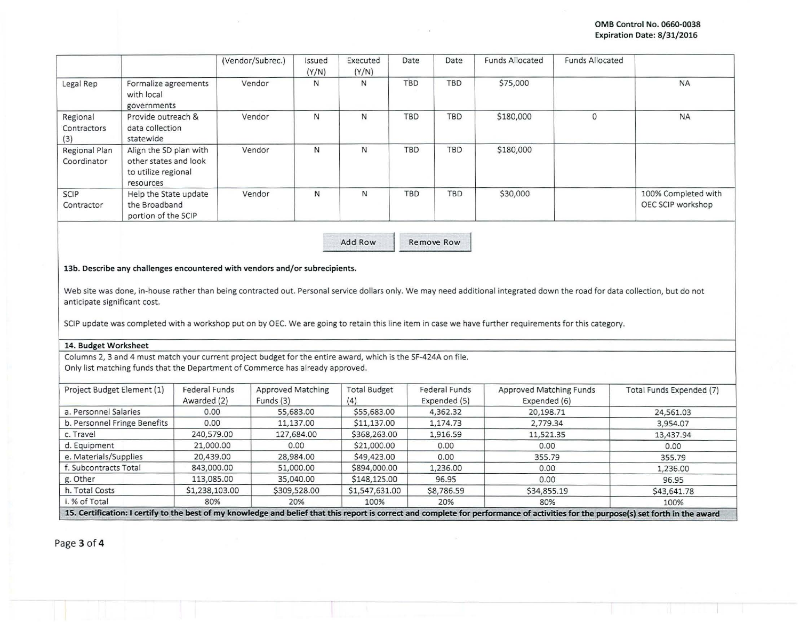|                                |                                                                                     | (Vendor/Subrec.) | Issued<br>(Y/N) | Executed<br>(Y/N) | Date       | Date       | <b>Funds Allocated</b> | <b>Funds Allocated</b> |                                          |
|--------------------------------|-------------------------------------------------------------------------------------|------------------|-----------------|-------------------|------------|------------|------------------------|------------------------|------------------------------------------|
| Legal Rep                      | Formalize agreements<br>with local<br>governments                                   | Vendor           | N               | N                 | <b>TBD</b> | <b>TBD</b> | \$75,000               |                        | <b>NA</b>                                |
| Regional<br>Contractors<br>(3) | Provide outreach &<br>data collection<br>statewide                                  | Vendor           | N               | N                 | <b>TBD</b> | TBD        | \$180,000              | $\Omega$               | <b>NA</b>                                |
| Regional Plan<br>Coordinator   | Align the SD plan with<br>other states and look<br>to utilize regional<br>resources | Vendor           | N               | N                 | TBD        | TBD        | \$180,000              |                        |                                          |
| SCIP<br>Contractor             | Help the State update<br>the Broadband<br>portion of the SCIP                       | Vendor           | N               | N                 | TBD        | TBD        | \$30,000               |                        | 100% Completed with<br>OEC SCIP workshop |

Add Row Remove Row

13b. Describe any challenges encountered with vendors and/or subrecipients.

Web site was done, in-house rather than being contracted out. Personal service dollars only. We may need additional integrated down the road for data collection, but do not anticipate significant cost.

SCIP update was completed with a workshop put on by OEC. We are going to retain this line item in case we have further requirements for this category.

# 14. Budget Worksheet

Columns 2, 3 and 4 must match your current project budget for the entire award, which is the SF-424A on file. Only list matching funds that the Department of Commerce has already approved .

| Project Budget Element (1)   | Federal Funds  | <b>Approved Matching</b> | <b>Total Budget</b> | Federal Funds | Approved Matching Funds | Total Funds Expended (7) |
|------------------------------|----------------|--------------------------|---------------------|---------------|-------------------------|--------------------------|
|                              | Awarded (2)    | Funds (3)                | (4)                 | Expended (5)  | Expended (6)            |                          |
| a. Personnel Salaries        | 0.00           | 55,683.00                | \$55,683.00         | 4,362.32      | 20,198.71               | 24,561.03                |
| b. Personnel Fringe Benefits | 0.00           | 11,137.00                | \$11,137.00         | 1,174.73      | 2,779.34                | 3,954.07                 |
| c. Travel                    | 240,579.00     | 127,684.00               | \$368,263.00        | 1,916.59      | 11,521.35               | 13,437.94                |
| d. Equipment                 | 21,000.00      | 0.00                     | \$21,000.00         | 0.00          | 0.00                    | 0.00                     |
| e. Materials/Supplies        | 20,439.00      | 28,984.00                | \$49,423.00         | 0.00          | 355.79                  | 355.79                   |
| f. Subcontracts Total        | 843,000.00     | 51,000.00                | \$894,000.00        | 1,236.00      | 0.00                    | 1,236.00                 |
| g. Other                     | 113,085.00     | 35,040.00                | \$148,125.00        | 96.95         | 0.00                    | 96.95                    |
| h. Total Costs               | \$1,238,103.00 | \$309,528.00             | \$1,547,631.00      | \$8,786.59    | \$34,855.19             | \$43,641.78              |
| i. % of Total                | 80%            | 20%                      | 100%                | 20%           | 80%                     | 100%                     |

Page 3 of **4**